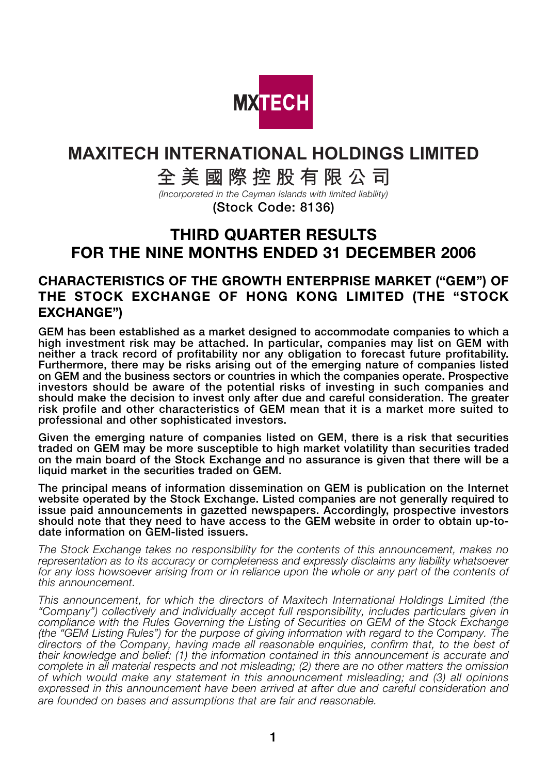

# **MAXITECH INTERNATIONAL HOLDINGS LIMITED**

**全美國際控股有限公司**

*(Incorporated in the Cayman Islands with limited liability)*

**(Stock Code: 8136)**

# **THIRD QUARTER RESULTS FOR THE NINE MONTHS ENDED 31 DECEMBER 2006**

### **CHARACTERISTICS OF THE GROWTH ENTERPRISE MARKET ("GEM") OF THE STOCK EXCHANGE OF HONG KONG LIMITED (THE "STOCK EXCHANGE")**

**GEM has been established as a market designed to accommodate companies to which a high investment risk may be attached. In particular, companies may list on GEM with neither a track record of profitability nor any obligation to forecast future profitability. Furthermore, there may be risks arising out of the emerging nature of companies listed on GEM and the business sectors or countries in which the companies operate. Prospective investors should be aware of the potential risks of investing in such companies and should make the decision to invest only after due and careful consideration. The greater risk profile and other characteristics of GEM mean that it is a market more suited to professional and other sophisticated investors.**

**Given the emerging nature of companies listed on GEM, there is a risk that securities traded on GEM may be more susceptible to high market volatility than securities traded on the main board of the Stock Exchange and no assurance is given that there will be a liquid market in the securities traded on GEM.**

**The principal means of information dissemination on GEM is publication on the Internet website operated by the Stock Exchange. Listed companies are not generally required to issue paid announcements in gazetted newspapers. Accordingly, prospective investors should note that they need to have access to the GEM website in order to obtain up-todate information on GEM-listed issuers.**

*The Stock Exchange takes no responsibility for the contents of this announcement, makes no representation as to its accuracy or completeness and expressly disclaims any liability whatsoever for any loss howsoever arising from or in reliance upon the whole or any part of the contents of this announcement.*

*This announcement, for which the directors of Maxitech International Holdings Limited (the "Company") collectively and individually accept full responsibility, includes particulars given in compliance with the Rules Governing the Listing of Securities on GEM of the Stock Exchange (the "GEM Listing Rules") for the purpose of giving information with regard to the Company. The directors of the Company, having made all reasonable enquiries, confirm that, to the best of their knowledge and belief: (1) the information contained in this announcement is accurate and complete in all material respects and not misleading; (2) there are no other matters the omission of which would make any statement in this announcement misleading; and (3) all opinions expressed in this announcement have been arrived at after due and careful consideration and are founded on bases and assumptions that are fair and reasonable.*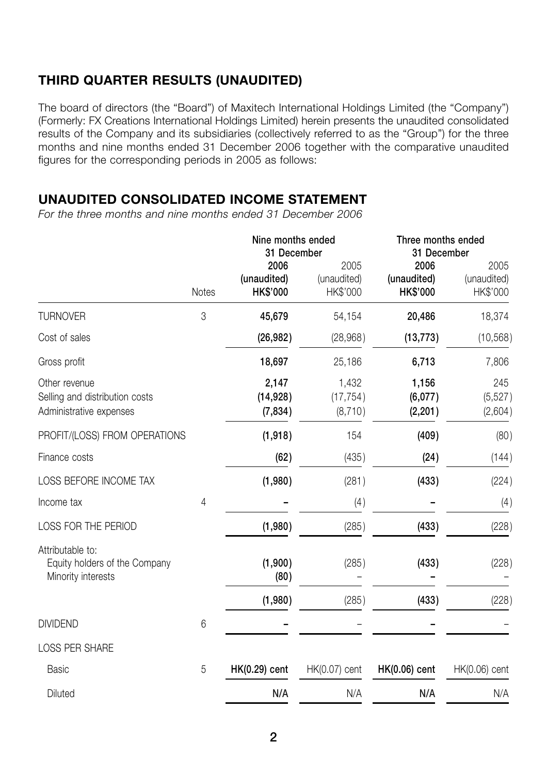# **THIRD QUARTER RESULTS (UNAUDITED)**

The board of directors (the "Board") of Maxitech International Holdings Limited (the "Company") (Formerly: FX Creations International Holdings Limited) herein presents the unaudited consolidated results of the Company and its subsidiaries (collectively referred to as the "Group") for the three months and nine months ended 31 December 2006 together with the comparative unaudited figures for the corresponding periods in 2005 as follows:

### **UNAUDITED CONSOLIDATED INCOME STATEMENT**

*For the three months and nine months ended 31 December 2006*

|                                                                            |                | Nine months ended<br>31 December       |                                 | Three months ended<br>31 December      |                                 |
|----------------------------------------------------------------------------|----------------|----------------------------------------|---------------------------------|----------------------------------------|---------------------------------|
|                                                                            | <b>Notes</b>   | 2006<br>(unaudited)<br><b>HK\$'000</b> | 2005<br>(unaudited)<br>HK\$'000 | 2006<br>(unaudited)<br><b>HK\$'000</b> | 2005<br>(unaudited)<br>HK\$'000 |
| <b>TURNOVER</b>                                                            | 3              | 45,679                                 | 54,154                          | 20,486                                 | 18,374                          |
| Cost of sales                                                              |                | (26, 982)                              | (28,968)                        | (13, 773)                              | (10, 568)                       |
| Gross profit                                                               |                | 18,697                                 | 25,186                          | 6,713                                  | 7,806                           |
| Other revenue<br>Selling and distribution costs<br>Administrative expenses |                | 2,147<br>(14, 928)<br>(7, 834)         | 1,432<br>(17, 754)<br>(8,710)   | 1,156<br>(6,077)<br>(2, 201)           | 245<br>(5, 527)<br>(2,604)      |
| PROFIT/(LOSS) FROM OPERATIONS                                              |                | (1,918)                                | 154                             | (409)                                  | (80)                            |
| Finance costs                                                              |                | (62)                                   | (435)                           | (24)                                   | (144)                           |
| LOSS BEFORE INCOME TAX                                                     |                | (1,980)                                | (281)                           | (433)                                  | (224)                           |
| Income tax                                                                 | $\overline{4}$ |                                        | (4)                             |                                        | (4)                             |
| LOSS FOR THE PERIOD                                                        |                | (1,980)                                | (285)                           | (433)                                  | (228)                           |
| Attributable to:<br>Equity holders of the Company<br>Minority interests    |                | (1,900)<br>(80)                        | (285)                           | (433)                                  | (228)                           |
|                                                                            |                | (1,980)                                | (285)                           | (433)                                  | (228)                           |
| <b>DIVIDEND</b>                                                            | 6              |                                        |                                 |                                        |                                 |
| <b>LOSS PER SHARE</b>                                                      |                |                                        |                                 |                                        |                                 |
| <b>Basic</b>                                                               | 5              | <b>HK(0.29)</b> cent                   | HK(0.07) cent                   | <b>HK(0.06)</b> cent                   | HK(0.06) cent                   |
| Diluted                                                                    |                | N/A                                    | N/A                             | N/A                                    | N/A                             |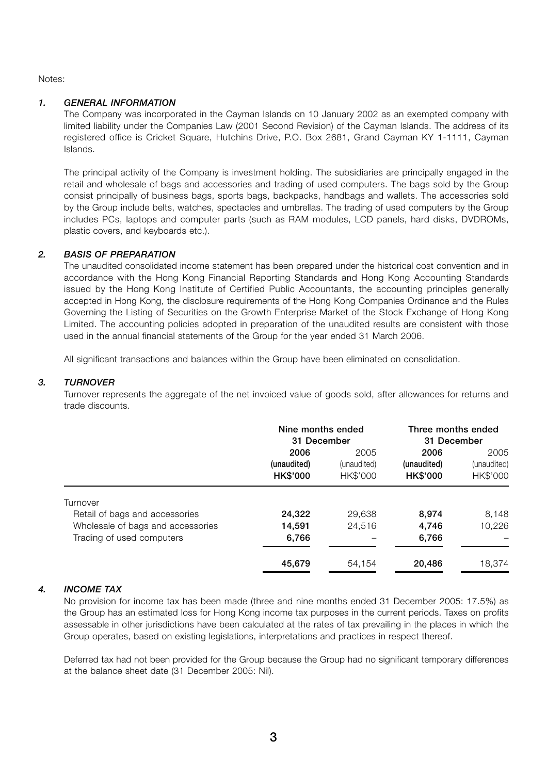Notes:

#### *1. GENERAL INFORMATION*

The Company was incorporated in the Cayman Islands on 10 January 2002 as an exempted company with limited liability under the Companies Law (2001 Second Revision) of the Cayman Islands. The address of its registered office is Cricket Square, Hutchins Drive, P.O. Box 2681, Grand Cayman KY 1-1111, Cayman Islands.

The principal activity of the Company is investment holding. The subsidiaries are principally engaged in the retail and wholesale of bags and accessories and trading of used computers. The bags sold by the Group consist principally of business bags, sports bags, backpacks, handbags and wallets. The accessories sold by the Group include belts, watches, spectacles and umbrellas. The trading of used computers by the Group includes PCs, laptops and computer parts (such as RAM modules, LCD panels, hard disks, DVDROMs, plastic covers, and keyboards etc.).

#### *2. BASIS OF PREPARATION*

The unaudited consolidated income statement has been prepared under the historical cost convention and in accordance with the Hong Kong Financial Reporting Standards and Hong Kong Accounting Standards issued by the Hong Kong Institute of Certified Public Accountants, the accounting principles generally accepted in Hong Kong, the disclosure requirements of the Hong Kong Companies Ordinance and the Rules Governing the Listing of Securities on the Growth Enterprise Market of the Stock Exchange of Hong Kong Limited. The accounting policies adopted in preparation of the unaudited results are consistent with those used in the annual financial statements of the Group for the year ended 31 March 2006.

All significant transactions and balances within the Group have been eliminated on consolidation.

#### *3. TURNOVER*

Turnover represents the aggregate of the net invoiced value of goods sold, after allowances for returns and trade discounts.

|                                   | Nine months ended<br>31 December |             | Three months ended<br>31 December |             |
|-----------------------------------|----------------------------------|-------------|-----------------------------------|-------------|
|                                   | 2006                             | 2005        | 2006                              | 2005        |
|                                   | (unaudited)                      | (unaudited) | (unaudited)                       | (unaudited) |
|                                   | <b>HK\$'000</b>                  | HK\$'000    | <b>HK\$'000</b>                   | HK\$'000    |
| Turnover                          |                                  |             |                                   |             |
| Retail of bags and accessories    | 24,322                           | 29.638      | 8,974                             | 8,148       |
| Wholesale of bags and accessories | 14,591                           | 24.516      | 4.746                             | 10,226      |
| Trading of used computers         | 6,766                            |             | 6,766                             |             |
|                                   | 45,679                           | 54.154      | 20,486                            | 18.374      |

#### *4. INCOME TAX*

No provision for income tax has been made (three and nine months ended 31 December 2005: 17.5%) as the Group has an estimated loss for Hong Kong income tax purposes in the current periods. Taxes on profits assessable in other jurisdictions have been calculated at the rates of tax prevailing in the places in which the Group operates, based on existing legislations, interpretations and practices in respect thereof.

Deferred tax had not been provided for the Group because the Group had no significant temporary differences at the balance sheet date (31 December 2005: Nil).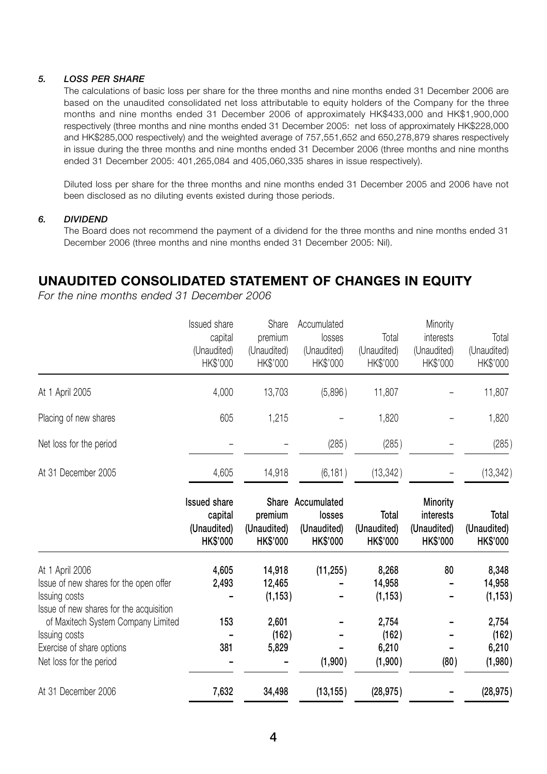#### *5. LOSS PER SHARE*

The calculations of basic loss per share for the three months and nine months ended 31 December 2006 are based on the unaudited consolidated net loss attributable to equity holders of the Company for the three months and nine months ended 31 December 2006 of approximately HK\$433,000 and HK\$1,900,000 respectively (three months and nine months ended 31 December 2005: net loss of approximately HK\$228,000 and HK\$285,000 respectively) and the weighted average of 757,551,652 and 650,278,879 shares respectively in issue during the three months and nine months ended 31 December 2006 (three months and nine months ended 31 December 2005: 401,265,084 and 405,060,335 shares in issue respectively).

Diluted loss per share for the three months and nine months ended 31 December 2005 and 2006 have not been disclosed as no diluting events existed during those periods.

#### *6. DIVIDEND*

The Board does not recommend the payment of a dividend for the three months and nine months ended 31 December 2006 (three months and nine months ended 31 December 2005: Nil).

### **UNAUDITED CONSOLIDATED STATEMENT OF CHANGES IN EQUITY**

*For the nine months ended 31 December 2006*

|                                                                                                                       | <b>Issued share</b><br>capital<br>(Unaudited)<br>HK\$'000        | Share<br>premium<br>(Unaudited)<br>HK\$'000 | Accumulated<br>losses<br>(Unaudited)<br>HK\$'000 | Total<br>(Unaudited)<br>HK\$'000        | Minority<br>interests<br>(Unaudited)<br>HK\$'000               | Total<br>(Unaudited)<br>HK\$'000        |
|-----------------------------------------------------------------------------------------------------------------------|------------------------------------------------------------------|---------------------------------------------|--------------------------------------------------|-----------------------------------------|----------------------------------------------------------------|-----------------------------------------|
| At 1 April 2005                                                                                                       | 4,000                                                            | 13,703                                      | (5,896)                                          | 11,807                                  |                                                                | 11,807                                  |
| Placing of new shares                                                                                                 | 605                                                              | 1,215                                       |                                                  | 1,820                                   |                                                                | 1,820                                   |
| Net loss for the period                                                                                               |                                                                  |                                             | (285)                                            | (285)                                   |                                                                | (285)                                   |
| At 31 December 2005                                                                                                   | 4,605                                                            | 14,918                                      | (6, 181)                                         | (13, 342)                               |                                                                | (13, 342)                               |
|                                                                                                                       | <b>Issued share</b><br>capital<br>(Unaudited)<br><b>HK\$'000</b> | Share<br>premium<br>(Unaudited)<br>HK\$'000 | Accumulated<br>losses<br>(Unaudited)<br>HK\$'000 | Total<br>(Unaudited)<br><b>HK\$'000</b> | <b>Minority</b><br>interests<br>(Unaudited)<br><b>HK\$'000</b> | Total<br>(Unaudited)<br><b>HK\$'000</b> |
| At 1 April 2006<br>Issue of new shares for the open offer<br>Issuing costs<br>Issue of new shares for the acquisition | 4,605<br>2,493                                                   | 14,918<br>12,465<br>(1, 153)                | (11, 255)                                        | 8,268<br>14,958<br>(1, 153)             | 80                                                             | 8,348<br>14,958<br>(1, 153)             |
| of Maxitech System Company Limited<br>Issuing costs<br>Exercise of share options<br>Net loss for the period           | 153<br>381                                                       | 2,601<br>(162)<br>5,829                     | (1,900)                                          | 2,754<br>(162)<br>6,210<br>(1,900)      | (80)                                                           | 2,754<br>(162)<br>6,210<br>(1,980)      |
| At 31 December 2006                                                                                                   | 7,632                                                            | 34,498                                      | (13, 155)                                        | (28, 975)                               |                                                                | (28, 975)                               |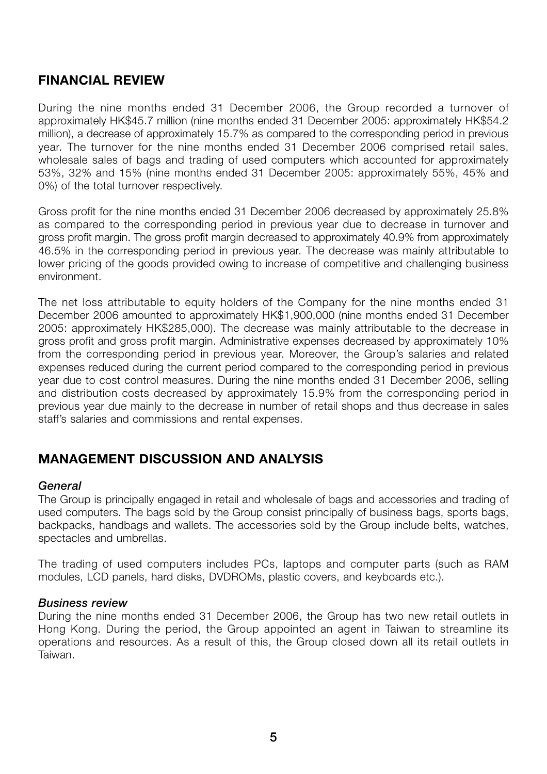### **FINANCIAL REVIEW**

During the nine months ended 31 December 2006, the Group recorded a turnover of approximately HK\$45.7 million (nine months ended 31 December 2005: approximately HK\$54.2 million), a decrease of approximately 15.7% as compared to the corresponding period in previous year. The turnover for the nine months ended 31 December 2006 comprised retail sales, wholesale sales of bags and trading of used computers which accounted for approximately 53%, 32% and 15% (nine months ended 31 December 2005: approximately 55%, 45% and 0%) of the total turnover respectively.

Gross profit for the nine months ended 31 December 2006 decreased by approximately 25.8% as compared to the corresponding period in previous year due to decrease in turnover and gross profit margin. The gross profit margin decreased to approximately 40.9% from approximately 46.5% in the corresponding period in previous year. The decrease was mainly attributable to lower pricing of the goods provided owing to increase of competitive and challenging business environment.

The net loss attributable to equity holders of the Company for the nine months ended 31 December 2006 amounted to approximately HK\$1,900,000 (nine months ended 31 December 2005: approximately HK\$285,000). The decrease was mainly attributable to the decrease in gross profit and gross profit margin. Administrative expenses decreased by approximately 10% from the corresponding period in previous year. Moreover, the Group's salaries and related expenses reduced during the current period compared to the corresponding period in previous year due to cost control measures. During the nine months ended 31 December 2006, selling and distribution costs decreased by approximately 15.9% from the corresponding period in previous year due mainly to the decrease in number of retail shops and thus decrease in sales staff's salaries and commissions and rental expenses.

# **MANAGEMENT DISCUSSION AND ANALYSIS**

### *General*

The Group is principally engaged in retail and wholesale of bags and accessories and trading of used computers. The bags sold by the Group consist principally of business bags, sports bags, backpacks, handbags and wallets. The accessories sold by the Group include belts, watches, spectacles and umbrellas.

The trading of used computers includes PCs, laptops and computer parts (such as RAM modules, LCD panels, hard disks, DVDROMs, plastic covers, and keyboards etc.).

### *Business review*

During the nine months ended 31 December 2006, the Group has two new retail outlets in Hong Kong. During the period, the Group appointed an agent in Taiwan to streamline its operations and resources. As a result of this, the Group closed down all its retail outlets in Taiwan.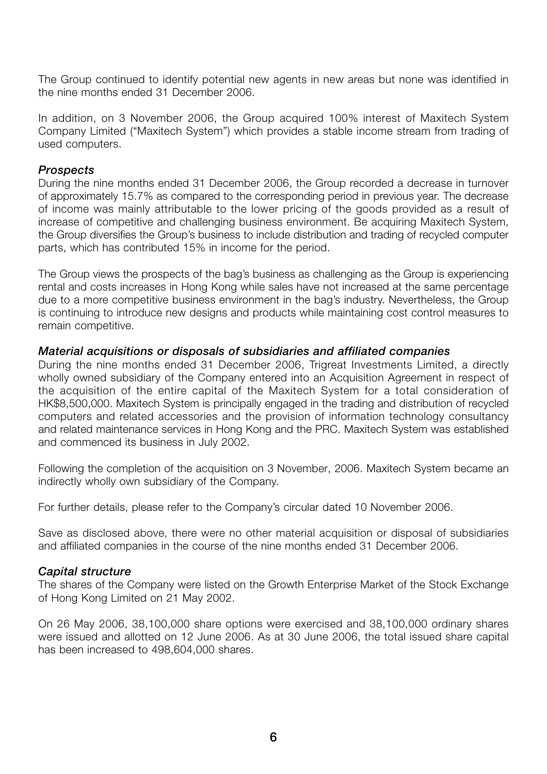The Group continued to identify potential new agents in new areas but none was identified in the nine months ended 31 December 2006.

In addition, on 3 November 2006, the Group acquired 100% interest of Maxitech System Company Limited ("Maxitech System") which provides a stable income stream from trading of used computers.

### *Prospects*

During the nine months ended 31 December 2006, the Group recorded a decrease in turnover of approximately 15.7% as compared to the corresponding period in previous year. The decrease of income was mainly attributable to the lower pricing of the goods provided as a result of increase of competitive and challenging business environment. Be acquiring Maxitech System, the Group diversifies the Group's business to include distribution and trading of recycled computer parts, which has contributed 15% in income for the period.

The Group views the prospects of the bag's business as challenging as the Group is experiencing rental and costs increases in Hong Kong while sales have not increased at the same percentage due to a more competitive business environment in the bag's industry. Nevertheless, the Group is continuing to introduce new designs and products while maintaining cost control measures to remain competitive.

#### *Material acquisitions or disposals of subsidiaries and affiliated companies*

During the nine months ended 31 December 2006, Trigreat Investments Limited, a directly wholly owned subsidiary of the Company entered into an Acquisition Agreement in respect of the acquisition of the entire capital of the Maxitech System for a total consideration of HK\$8,500,000. Maxitech System is principally engaged in the trading and distribution of recycled computers and related accessories and the provision of information technology consultancy and related maintenance services in Hong Kong and the PRC. Maxitech System was established and commenced its business in July 2002.

Following the completion of the acquisition on 3 November, 2006. Maxitech System became an indirectly wholly own subsidiary of the Company.

For further details, please refer to the Company's circular dated 10 November 2006.

Save as disclosed above, there were no other material acquisition or disposal of subsidiaries and affiliated companies in the course of the nine months ended 31 December 2006.

### *Capital structure*

The shares of the Company were listed on the Growth Enterprise Market of the Stock Exchange of Hong Kong Limited on 21 May 2002.

On 26 May 2006, 38,100,000 share options were exercised and 38,100,000 ordinary shares were issued and allotted on 12 June 2006. As at 30 June 2006, the total issued share capital has been increased to 498,604,000 shares.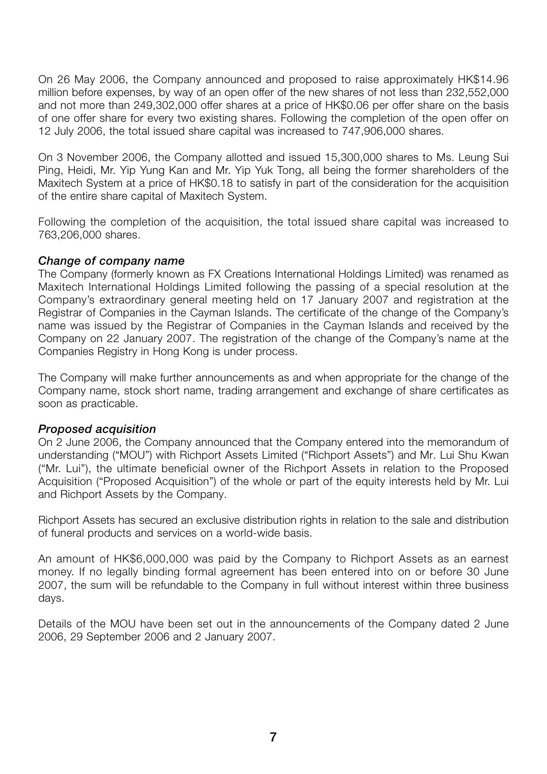On 26 May 2006, the Company announced and proposed to raise approximately HK\$14.96 million before expenses, by way of an open offer of the new shares of not less than 232,552,000 and not more than 249,302,000 offer shares at a price of HK\$0.06 per offer share on the basis of one offer share for every two existing shares. Following the completion of the open offer on 12 July 2006, the total issued share capital was increased to 747,906,000 shares.

On 3 November 2006, the Company allotted and issued 15,300,000 shares to Ms. Leung Sui Ping, Heidi, Mr. Yip Yung Kan and Mr. Yip Yuk Tong, all being the former shareholders of the Maxitech System at a price of HK\$0.18 to satisfy in part of the consideration for the acquisition of the entire share capital of Maxitech System.

Following the completion of the acquisition, the total issued share capital was increased to 763,206,000 shares.

### *Change of company name*

The Company (formerly known as FX Creations International Holdings Limited) was renamed as Maxitech International Holdings Limited following the passing of a special resolution at the Company's extraordinary general meeting held on 17 January 2007 and registration at the Registrar of Companies in the Cayman Islands. The certificate of the change of the Company's name was issued by the Registrar of Companies in the Cayman Islands and received by the Company on 22 January 2007. The registration of the change of the Company's name at the Companies Registry in Hong Kong is under process.

The Company will make further announcements as and when appropriate for the change of the Company name, stock short name, trading arrangement and exchange of share certificates as soon as practicable.

### *Proposed acquisition*

On 2 June 2006, the Company announced that the Company entered into the memorandum of understanding ("MOU") with Richport Assets Limited ("Richport Assets") and Mr. Lui Shu Kwan ("Mr. Lui"), the ultimate beneficial owner of the Richport Assets in relation to the Proposed Acquisition ("Proposed Acquisition") of the whole or part of the equity interests held by Mr. Lui and Richport Assets by the Company.

Richport Assets has secured an exclusive distribution rights in relation to the sale and distribution of funeral products and services on a world-wide basis.

An amount of HK\$6,000,000 was paid by the Company to Richport Assets as an earnest money. If no legally binding formal agreement has been entered into on or before 30 June 2007, the sum will be refundable to the Company in full without interest within three business days.

Details of the MOU have been set out in the announcements of the Company dated 2 June 2006, 29 September 2006 and 2 January 2007.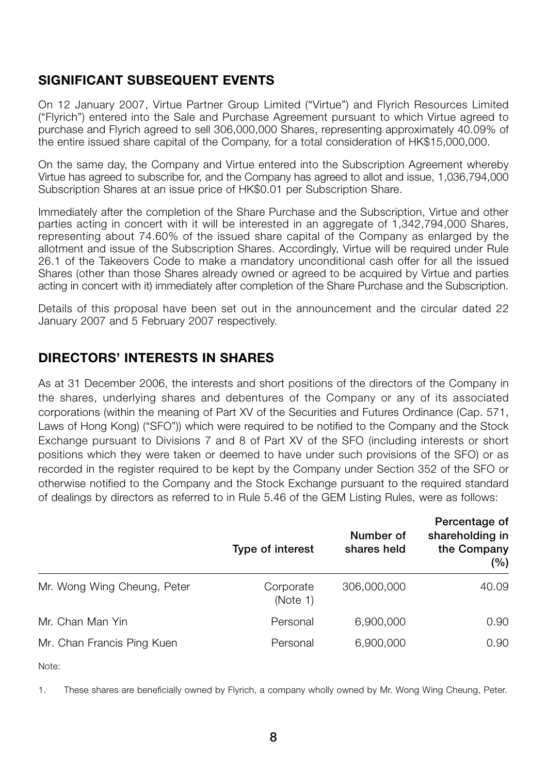# **SIGNIFICANT SUBSEQUENT EVENTS**

On 12 January 2007, Virtue Partner Group Limited ("Virtue") and Flyrich Resources Limited ("Flyrich") entered into the Sale and Purchase Agreement pursuant to which Virtue agreed to purchase and Flyrich agreed to sell 306,000,000 Shares, representing approximately 40.09% of the entire issued share capital of the Company, for a total consideration of HK\$15,000,000.

On the same day, the Company and Virtue entered into the Subscription Agreement whereby Virtue has agreed to subscribe for, and the Company has agreed to allot and issue, 1,036,794,000 Subscription Shares at an issue price of HK\$0.01 per Subscription Share.

Immediately after the completion of the Share Purchase and the Subscription, Virtue and other parties acting in concert with it will be interested in an aggregate of 1,342,794,000 Shares, representing about 74.60% of the issued share capital of the Company as enlarged by the allotment and issue of the Subscription Shares. Accordingly, Virtue will be required under Rule 26.1 of the Takeovers Code to make a mandatory unconditional cash offer for all the issued Shares (other than those Shares already owned or agreed to be acquired by Virtue and parties acting in concert with it) immediately after completion of the Share Purchase and the Subscription.

Details of this proposal have been set out in the announcement and the circular dated 22 January 2007 and 5 February 2007 respectively.

### **DIRECTORS' INTERESTS IN SHARES**

As at 31 December 2006, the interests and short positions of the directors of the Company in the shares, underlying shares and debentures of the Company or any of its associated corporations (within the meaning of Part XV of the Securities and Futures Ordinance (Cap. 571, Laws of Hong Kong) ("SFO")) which were required to be notified to the Company and the Stock Exchange pursuant to Divisions 7 and 8 of Part XV of the SFO (including interests or short positions which they were taken or deemed to have under such provisions of the SFO) or as recorded in the register required to be kept by the Company under Section 352 of the SFO or otherwise notified to the Company and the Stock Exchange pursuant to the required standard of dealings by directors as referred to in Rule 5.46 of the GEM Listing Rules, were as follows:

|                             | Type of interest      | Number of<br>shares held | Percentage of<br>shareholding in<br>the Company<br>(%) |  |
|-----------------------------|-----------------------|--------------------------|--------------------------------------------------------|--|
| Mr. Wong Wing Cheung, Peter | Corporate<br>(Note 1) | 306,000,000              | 40.09                                                  |  |
| Mr. Chan Man Yin            | Personal              | 6,900,000                | 0.90                                                   |  |
| Mr. Chan Francis Ping Kuen  | Personal              | 6,900,000                | 0.90                                                   |  |

Note:

1. These shares are beneficially owned by Flyrich, a company wholly owned by Mr. Wong Wing Cheung, Peter.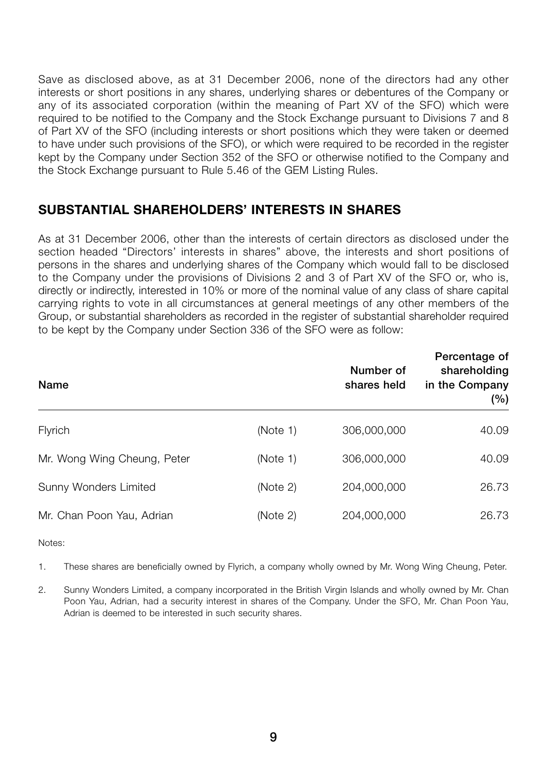Save as disclosed above, as at 31 December 2006, none of the directors had any other interests or short positions in any shares, underlying shares or debentures of the Company or any of its associated corporation (within the meaning of Part XV of the SFO) which were required to be notified to the Company and the Stock Exchange pursuant to Divisions 7 and 8 of Part XV of the SFO (including interests or short positions which they were taken or deemed to have under such provisions of the SFO), or which were required to be recorded in the register kept by the Company under Section 352 of the SFO or otherwise notified to the Company and the Stock Exchange pursuant to Rule 5.46 of the GEM Listing Rules.

### **SUBSTANTIAL SHAREHOLDERS' INTERESTS IN SHARES**

As at 31 December 2006, other than the interests of certain directors as disclosed under the section headed "Directors' interests in shares" above, the interests and short positions of persons in the shares and underlying shares of the Company which would fall to be disclosed to the Company under the provisions of Divisions 2 and 3 of Part XV of the SFO or, who is, directly or indirectly, interested in 10% or more of the nominal value of any class of share capital carrying rights to vote in all circumstances at general meetings of any other members of the Group, or substantial shareholders as recorded in the register of substantial shareholder required to be kept by the Company under Section 336 of the SFO were as follow:

| <b>Name</b>                  |          | Number of<br>shares held | Percentage of<br>shareholding<br>in the Company<br>$(\%)$ |
|------------------------------|----------|--------------------------|-----------------------------------------------------------|
| Flyrich                      | (Note 1) | 306,000,000              | 40.09                                                     |
| Mr. Wong Wing Cheung, Peter  | (Note 1) | 306,000,000              | 40.09                                                     |
| <b>Sunny Wonders Limited</b> | (Note 2) | 204,000,000              | 26.73                                                     |
| Mr. Chan Poon Yau, Adrian    | (Note 2) | 204,000,000              | 26.73                                                     |

Notes:

1. These shares are beneficially owned by Flyrich, a company wholly owned by Mr. Wong Wing Cheung, Peter.

2. Sunny Wonders Limited, a company incorporated in the British Virgin Islands and wholly owned by Mr. Chan Poon Yau, Adrian, had a security interest in shares of the Company. Under the SFO, Mr. Chan Poon Yau, Adrian is deemed to be interested in such security shares.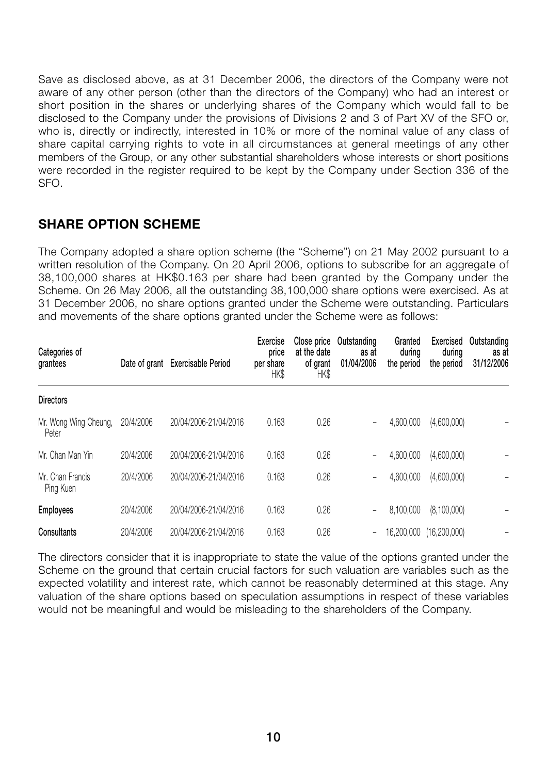Save as disclosed above, as at 31 December 2006, the directors of the Company were not aware of any other person (other than the directors of the Company) who had an interest or short position in the shares or underlying shares of the Company which would fall to be disclosed to the Company under the provisions of Divisions 2 and 3 of Part XV of the SFO or, who is, directly or indirectly, interested in 10% or more of the nominal value of any class of share capital carrying rights to vote in all circumstances at general meetings of any other members of the Group, or any other substantial shareholders whose interests or short positions were recorded in the register required to be kept by the Company under Section 336 of the SFO.

### **SHARE OPTION SCHEME**

The Company adopted a share option scheme (the "Scheme") on 21 May 2002 pursuant to a written resolution of the Company. On 20 April 2006, options to subscribe for an aggregate of 38,100,000 shares at HK\$0.163 per share had been granted by the Company under the Scheme. On 26 May 2006, all the outstanding 38,100,000 share options were exercised. As at 31 December 2006, no share options granted under the Scheme were outstanding. Particulars and movements of the share options granted under the Scheme were as follows:

| Categories of<br>grantees      |           | Date of grant Exercisable Period | Exercise<br>price<br>per share<br>HK\$ | Close price<br>at the date<br>of grant<br>HK\$ | Outstanding<br>as at<br>01/04/2006 | Granted<br>during<br>the period | <b>Exercised</b><br>during<br>the period | Outstanding<br>as at<br>31/12/2006 |
|--------------------------------|-----------|----------------------------------|----------------------------------------|------------------------------------------------|------------------------------------|---------------------------------|------------------------------------------|------------------------------------|
| <b>Directors</b>               |           |                                  |                                        |                                                |                                    |                                 |                                          |                                    |
| Mr. Wong Wing Cheung,<br>Peter | 20/4/2006 | 20/04/2006-21/04/2016            | 0.163                                  | 0.26                                           | -                                  | 4,600,000                       | (4,600,000)                              |                                    |
| Mr. Chan Man Yin               | 20/4/2006 | 20/04/2006-21/04/2016            | 0.163                                  | 0.26                                           | -                                  | 4,600,000                       | (4,600,000)                              |                                    |
| Mr. Chan Francis<br>Ping Kuen  | 20/4/2006 | 20/04/2006-21/04/2016            | 0.163                                  | 0.26                                           | -                                  | 4,600,000                       | (4,600,000)                              |                                    |
| <b>Employees</b>               | 20/4/2006 | 20/04/2006-21/04/2016            | 0.163                                  | 0.26                                           | -                                  | 8,100,000                       | (8,100,000)                              |                                    |
| Consultants                    | 20/4/2006 | 20/04/2006-21/04/2016            | 0.163                                  | 0.26                                           | -                                  | 16,200,000                      | (16, 200, 000)                           |                                    |

The directors consider that it is inappropriate to state the value of the options granted under the Scheme on the ground that certain crucial factors for such valuation are variables such as the expected volatility and interest rate, which cannot be reasonably determined at this stage. Any valuation of the share options based on speculation assumptions in respect of these variables would not be meaningful and would be misleading to the shareholders of the Company.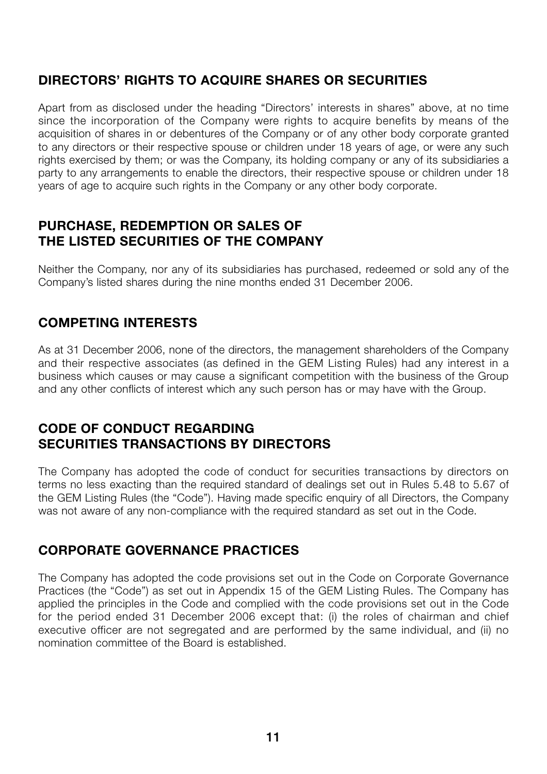# **DIRECTORS' RIGHTS TO ACQUIRE SHARES OR SECURITIES**

Apart from as disclosed under the heading "Directors' interests in shares" above, at no time since the incorporation of the Company were rights to acquire benefits by means of the acquisition of shares in or debentures of the Company or of any other body corporate granted to any directors or their respective spouse or children under 18 years of age, or were any such rights exercised by them; or was the Company, its holding company or any of its subsidiaries a party to any arrangements to enable the directors, their respective spouse or children under 18 years of age to acquire such rights in the Company or any other body corporate.

### **PURCHASE, REDEMPTION OR SALES OF THE LISTED SECURITIES OF THE COMPANY**

Neither the Company, nor any of its subsidiaries has purchased, redeemed or sold any of the Company's listed shares during the nine months ended 31 December 2006.

# **COMPETING INTERESTS**

As at 31 December 2006, none of the directors, the management shareholders of the Company and their respective associates (as defined in the GEM Listing Rules) had any interest in a business which causes or may cause a significant competition with the business of the Group and any other conflicts of interest which any such person has or may have with the Group.

### **CODE OF CONDUCT REGARDING SECURITIES TRANSACTIONS BY DIRECTORS**

The Company has adopted the code of conduct for securities transactions by directors on terms no less exacting than the required standard of dealings set out in Rules 5.48 to 5.67 of the GEM Listing Rules (the "Code"). Having made specific enquiry of all Directors, the Company was not aware of any non-compliance with the required standard as set out in the Code.

### **CORPORATE GOVERNANCE PRACTICES**

The Company has adopted the code provisions set out in the Code on Corporate Governance Practices (the "Code") as set out in Appendix 15 of the GEM Listing Rules. The Company has applied the principles in the Code and complied with the code provisions set out in the Code for the period ended 31 December 2006 except that: (i) the roles of chairman and chief executive officer are not segregated and are performed by the same individual, and (ii) no nomination committee of the Board is established.